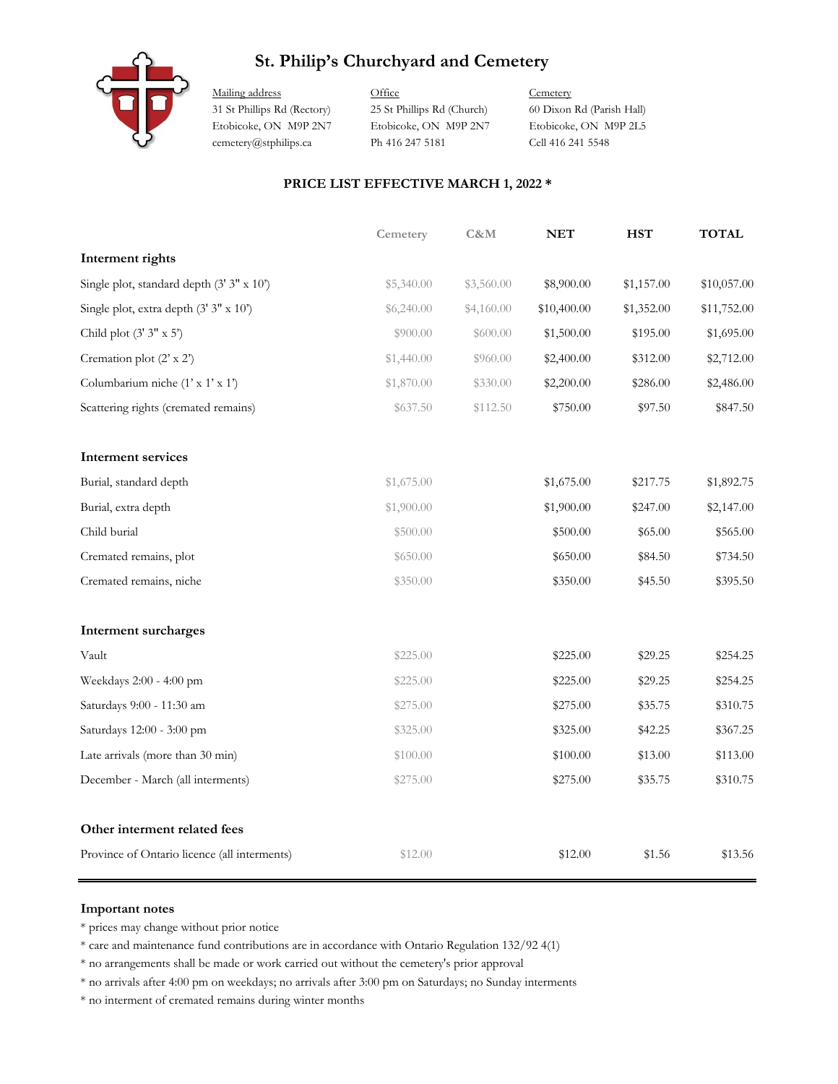## **St. Philip's Churchyard and Cemetery**



Mailing address **Office** Cemetery 31 St Phillips Rd (Rectory) 25 St Phillips Rd (Church) 60 Dixon Rd (Parish Hall) Etobicoke, ON M9P 2N7 Etobicoke, ON M9P 2N7 Etobicoke, ON M9P 2L5 cemetery@stphilips.ca Ph 416 247 5181 Cell 416 241 5548

### **PRICE LIST EFFECTIVE MARCH 1, 2022 \***

|                                              | Cemetery   | C&M        | <b>NET</b>  | <b>HST</b> | <b>TOTAL</b> |
|----------------------------------------------|------------|------------|-------------|------------|--------------|
| Interment rights                             |            |            |             |            |              |
| Single plot, standard depth (3' 3" x 10")    | \$5,340.00 | \$3,560.00 | \$8,900.00  | \$1,157.00 | \$10,057.00  |
| Single plot, extra depth (3' 3" x 10')       | \$6,240.00 | \$4,160.00 | \$10,400.00 | \$1,352.00 | \$11,752.00  |
| Child plot $(3' 3'' x 5')$                   | \$900.00   | \$600.00   | \$1,500.00  | \$195.00   | \$1,695.00   |
| Cremation plot (2' x 2')                     | \$1,440.00 | \$960.00   | \$2,400.00  | \$312.00   | \$2,712.00   |
| Columbarium niche (1' x 1' x 1')             | \$1,870.00 | \$330.00   | \$2,200.00  | \$286.00   | \$2,486.00   |
| Scattering rights (cremated remains)         | \$637.50   | \$112.50   | \$750.00    | \$97.50    | \$847.50     |
| Interment services                           |            |            |             |            |              |
| Burial, standard depth                       | \$1,675.00 |            | \$1,675.00  | \$217.75   | \$1,892.75   |
| Burial, extra depth                          | \$1,900.00 |            | \$1,900.00  | \$247.00   | \$2,147.00   |
| Child burial                                 | \$500.00   |            | \$500.00    | \$65.00    | \$565.00     |
| Cremated remains, plot                       | \$650.00   |            | \$650.00    | \$84.50    | \$734.50     |
| Cremated remains, niche                      | \$350.00   |            | \$350.00    | \$45.50    | \$395.50     |
| Interment surcharges                         |            |            |             |            |              |
| Vault                                        | \$225.00   |            | \$225.00    | \$29.25    | \$254.25     |
| Weekdays 2:00 - 4:00 pm                      | \$225.00   |            | \$225.00    | \$29.25    | \$254.25     |
| Saturdays 9:00 - 11:30 am                    | \$275.00   |            | \$275.00    | \$35.75    | \$310.75     |
| Saturdays 12:00 - 3:00 pm                    | \$325.00   |            | \$325.00    | \$42.25    | \$367.25     |
| Late arrivals (more than 30 min)             | \$100.00   |            | \$100.00    | \$13.00    | \$113.00     |
| December - March (all interments)            | \$275.00   |            | \$275.00    | \$35.75    | \$310.75     |
| Other interment related fees                 |            |            |             |            |              |
| Province of Ontario licence (all interments) | \$12.00    |            | \$12.00     | \$1.56     | \$13.56      |

### **Important notes**

\* prices may change without prior notice

\* care and maintenance fund contributions are in accordance with Ontario Regulation 132/92 4(1)

\* no arrangements shall be made or work carried out without the cemetery's prior approval

\* no arrivals after 4:00 pm on weekdays; no arrivals after 3:00 pm on Saturdays; no Sunday interments

\* no interment of cremated remains during winter months